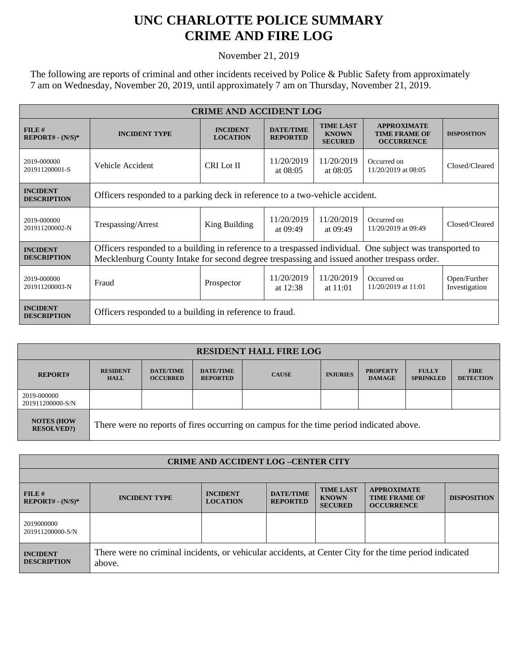## **UNC CHARLOTTE POLICE SUMMARY CRIME AND FIRE LOG**

November 21, 2019

The following are reports of criminal and other incidents received by Police & Public Safety from approximately 7 am on Wednesday, November 20, 2019, until approximately 7 am on Thursday, November 21, 2019.

| <b>CRIME AND ACCIDENT LOG</b>         |                                                                                                                                                                                                        |                                    |                                     |                                                    |                                                                 |                               |  |
|---------------------------------------|--------------------------------------------------------------------------------------------------------------------------------------------------------------------------------------------------------|------------------------------------|-------------------------------------|----------------------------------------------------|-----------------------------------------------------------------|-------------------------------|--|
| FILE#<br>$REPORT# - (N/S)*$           | <b>INCIDENT TYPE</b>                                                                                                                                                                                   | <b>INCIDENT</b><br><b>LOCATION</b> | <b>DATE/TIME</b><br><b>REPORTED</b> | <b>TIME LAST</b><br><b>KNOWN</b><br><b>SECURED</b> | <b>APPROXIMATE</b><br><b>TIME FRAME OF</b><br><b>OCCURRENCE</b> | <b>DISPOSITION</b>            |  |
| 2019-000000<br>201911200001-S         | Vehicle Accident                                                                                                                                                                                       | <b>CRI</b> Lot II                  | 11/20/2019<br>at $08:05$            | 11/20/2019<br>at $08:05$                           | Occurred on<br>11/20/2019 at 08:05                              | Closed/Cleared                |  |
| <b>INCIDENT</b><br><b>DESCRIPTION</b> | Officers responded to a parking deck in reference to a two-vehicle accident.                                                                                                                           |                                    |                                     |                                                    |                                                                 |                               |  |
| 2019-000000<br>201911200002-N         | Trespassing/Arrest                                                                                                                                                                                     | King Building                      | 11/20/2019<br>at 09:49              | 11/20/2019<br>at 09:49                             | Occurred on<br>11/20/2019 at 09:49                              | Closed/Cleared                |  |
| <b>INCIDENT</b><br><b>DESCRIPTION</b> | Officers responded to a building in reference to a trespassed individual. One subject was transported to<br>Mecklenburg County Intake for second degree trespassing and issued another trespass order. |                                    |                                     |                                                    |                                                                 |                               |  |
| 2019-000000<br>201911200003-N         | Fraud                                                                                                                                                                                                  | Prospector                         | 11/20/2019<br>at $12:38$            | 11/20/2019<br>at $11:01$                           | Occurred on<br>11/20/2019 at 11:01                              | Open/Further<br>Investigation |  |
| <b>INCIDENT</b><br><b>DESCRIPTION</b> | Officers responded to a building in reference to fraud.                                                                                                                                                |                                    |                                     |                                                    |                                                                 |                               |  |

| <b>RESIDENT HALL FIRE LOG</b>         |                                                                                         |                                     |                                     |              |                 |                                  |                                  |                                 |
|---------------------------------------|-----------------------------------------------------------------------------------------|-------------------------------------|-------------------------------------|--------------|-----------------|----------------------------------|----------------------------------|---------------------------------|
| <b>REPORT#</b>                        | <b>RESIDENT</b><br><b>HALL</b>                                                          | <b>DATE/TIME</b><br><b>OCCURRED</b> | <b>DATE/TIME</b><br><b>REPORTED</b> | <b>CAUSE</b> | <b>INJURIES</b> | <b>PROPERTY</b><br><b>DAMAGE</b> | <b>FULLY</b><br><b>SPRINKLED</b> | <b>FIRE</b><br><b>DETECTION</b> |
| 2019-000000<br>201911200000-S/N       |                                                                                         |                                     |                                     |              |                 |                                  |                                  |                                 |
| <b>NOTES (HOW</b><br><b>RESOLVED?</b> | There were no reports of fires occurring on campus for the time period indicated above. |                                     |                                     |              |                 |                                  |                                  |                                 |

| <b>CRIME AND ACCIDENT LOG-CENTER CITY</b> |                                                                                                                  |                                    |                                     |                                                    |                                                                 |                    |
|-------------------------------------------|------------------------------------------------------------------------------------------------------------------|------------------------------------|-------------------------------------|----------------------------------------------------|-----------------------------------------------------------------|--------------------|
|                                           |                                                                                                                  |                                    |                                     |                                                    |                                                                 |                    |
| FILE#<br>$REPORT# - (N/S)*$               | <b>INCIDENT TYPE</b>                                                                                             | <b>INCIDENT</b><br><b>LOCATION</b> | <b>DATE/TIME</b><br><b>REPORTED</b> | <b>TIME LAST</b><br><b>KNOWN</b><br><b>SECURED</b> | <b>APPROXIMATE</b><br><b>TIME FRAME OF</b><br><b>OCCURRENCE</b> | <b>DISPOSITION</b> |
| 2019000000<br>201911200000-S/N            |                                                                                                                  |                                    |                                     |                                                    |                                                                 |                    |
| <b>INCIDENT</b><br><b>DESCRIPTION</b>     | There were no criminal incidents, or vehicular accidents, at Center City for the time period indicated<br>above. |                                    |                                     |                                                    |                                                                 |                    |